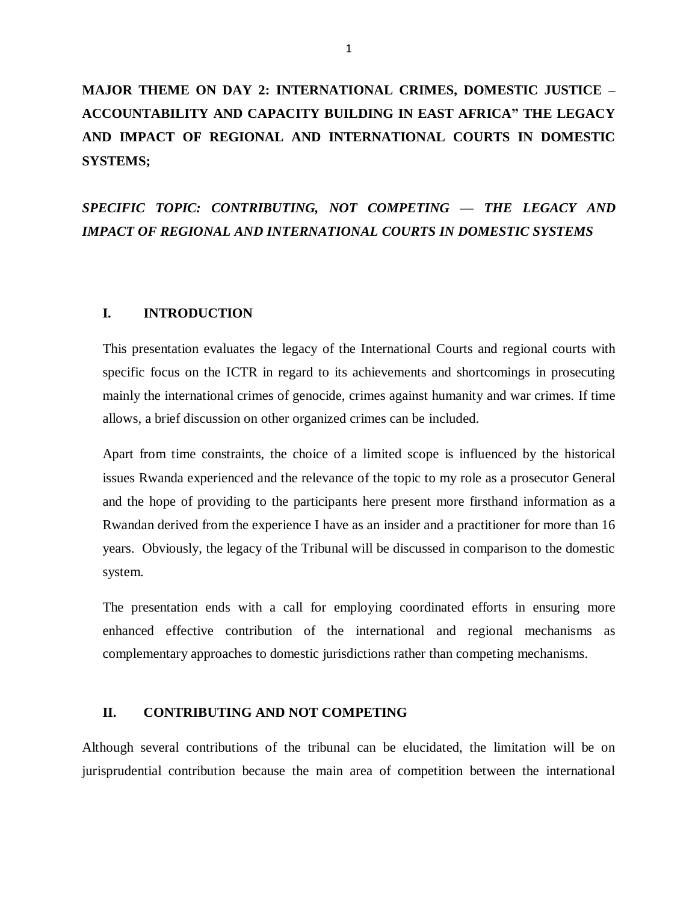# **MAJOR THEME ON DAY 2: INTERNATIONAL CRIMES, DOMESTIC JUSTICE – ACCOUNTABILITY AND CAPACITY BUILDING IN EAST AFRICA" THE LEGACY AND IMPACT OF REGIONAL AND INTERNATIONAL COURTS IN DOMESTIC SYSTEMS;**

*SPECIFIC TOPIC: CONTRIBUTING, NOT COMPETING — THE LEGACY AND IMPACT OF REGIONAL AND INTERNATIONAL COURTS IN DOMESTIC SYSTEMS*

### **I. INTRODUCTION**

This presentation evaluates the legacy of the International Courts and regional courts with specific focus on the ICTR in regard to its achievements and shortcomings in prosecuting mainly the international crimes of genocide, crimes against humanity and war crimes. If time allows, a brief discussion on other organized crimes can be included.

Apart from time constraints, the choice of a limited scope is influenced by the historical issues Rwanda experienced and the relevance of the topic to my role as a prosecutor General and the hope of providing to the participants here present more firsthand information as a Rwandan derived from the experience I have as an insider and a practitioner for more than 16 years. Obviously, the legacy of the Tribunal will be discussed in comparison to the domestic system.

The presentation ends with a call for employing coordinated efforts in ensuring more enhanced effective contribution of the international and regional mechanisms as complementary approaches to domestic jurisdictions rather than competing mechanisms.

### **II. CONTRIBUTING AND NOT COMPETING**

Although several contributions of the tribunal can be elucidated, the limitation will be on jurisprudential contribution because the main area of competition between the international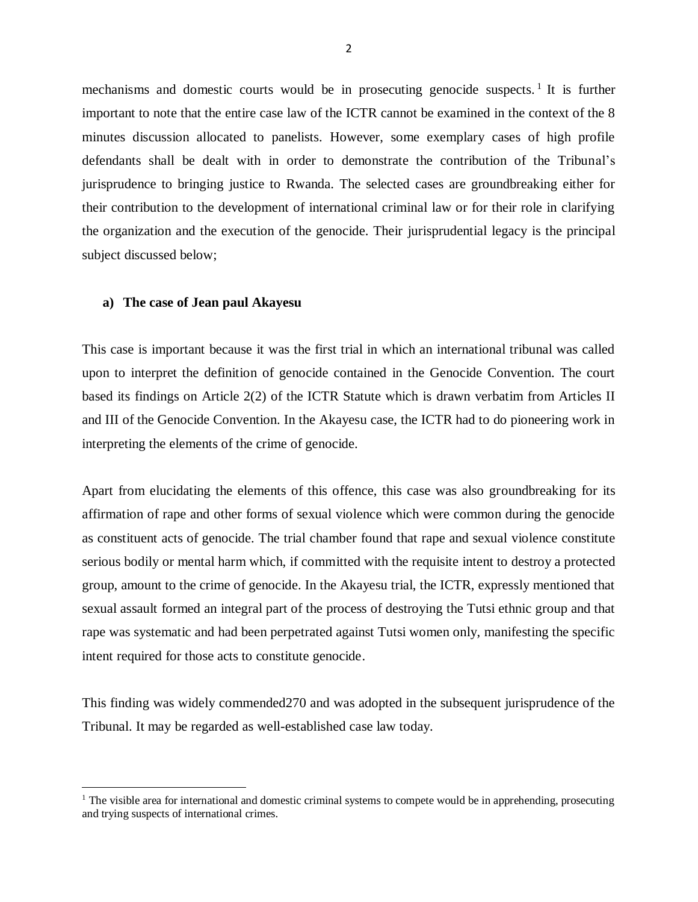mechanisms and domestic courts would be in prosecuting genocide suspects.<sup>1</sup> It is further important to note that the entire case law of the ICTR cannot be examined in the context of the 8 minutes discussion allocated to panelists. However, some exemplary cases of high profile defendants shall be dealt with in order to demonstrate the contribution of the Tribunal's jurisprudence to bringing justice to Rwanda. The selected cases are groundbreaking either for their contribution to the development of international criminal law or for their role in clarifying the organization and the execution of the genocide. Their jurisprudential legacy is the principal subject discussed below;

### **a) The case of Jean paul Akayesu**

 $\overline{a}$ 

This case is important because it was the first trial in which an international tribunal was called upon to interpret the definition of genocide contained in the Genocide Convention. The court based its findings on Article 2(2) of the ICTR Statute which is drawn verbatim from Articles II and III of the Genocide Convention. In the Akayesu case, the ICTR had to do pioneering work in interpreting the elements of the crime of genocide.

Apart from elucidating the elements of this offence, this case was also groundbreaking for its affirmation of rape and other forms of sexual violence which were common during the genocide as constituent acts of genocide. The trial chamber found that rape and sexual violence constitute serious bodily or mental harm which, if committed with the requisite intent to destroy a protected group, amount to the crime of genocide. In the Akayesu trial, the ICTR, expressly mentioned that sexual assault formed an integral part of the process of destroying the Tutsi ethnic group and that rape was systematic and had been perpetrated against Tutsi women only, manifesting the specific intent required for those acts to constitute genocide.

This finding was widely commended270 and was adopted in the subsequent jurisprudence of the Tribunal. It may be regarded as well-established case law today.

 $1$ . The visible area for international and domestic criminal systems to compete would be in apprehending, prosecuting and trying suspects of international crimes.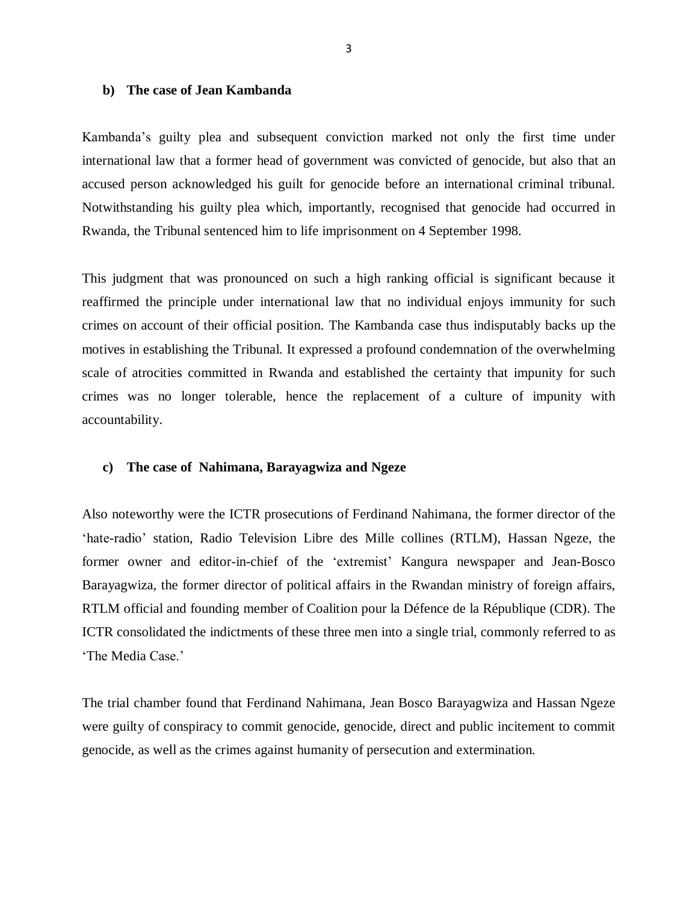### **b) The case of Jean Kambanda**

Kambanda's guilty plea and subsequent conviction marked not only the first time under international law that a former head of government was convicted of genocide, but also that an accused person acknowledged his guilt for genocide before an international criminal tribunal. Notwithstanding his guilty plea which, importantly, recognised that genocide had occurred in Rwanda, the Tribunal sentenced him to life imprisonment on 4 September 1998.

This judgment that was pronounced on such a high ranking official is significant because it reaffirmed the principle under international law that no individual enjoys immunity for such crimes on account of their official position. The Kambanda case thus indisputably backs up the motives in establishing the Tribunal. It expressed a profound condemnation of the overwhelming scale of atrocities committed in Rwanda and established the certainty that impunity for such crimes was no longer tolerable, hence the replacement of a culture of impunity with accountability.

### **c) The case of Nahimana, Barayagwiza and Ngeze**

Also noteworthy were the ICTR prosecutions of Ferdinand Nahimana, the former director of the 'hate-radio' station, Radio Television Libre des Mille collines (RTLM), Hassan Ngeze, the former owner and editor-in-chief of the 'extremist' Kangura newspaper and Jean-Bosco Barayagwiza, the former director of political affairs in the Rwandan ministry of foreign affairs, RTLM official and founding member of Coalition pour la Défence de la République (CDR). The ICTR consolidated the indictments of these three men into a single trial, commonly referred to as 'The Media Case.'

The trial chamber found that Ferdinand Nahimana, Jean Bosco Barayagwiza and Hassan Ngeze were guilty of conspiracy to commit genocide, genocide, direct and public incitement to commit genocide, as well as the crimes against humanity of persecution and extermination.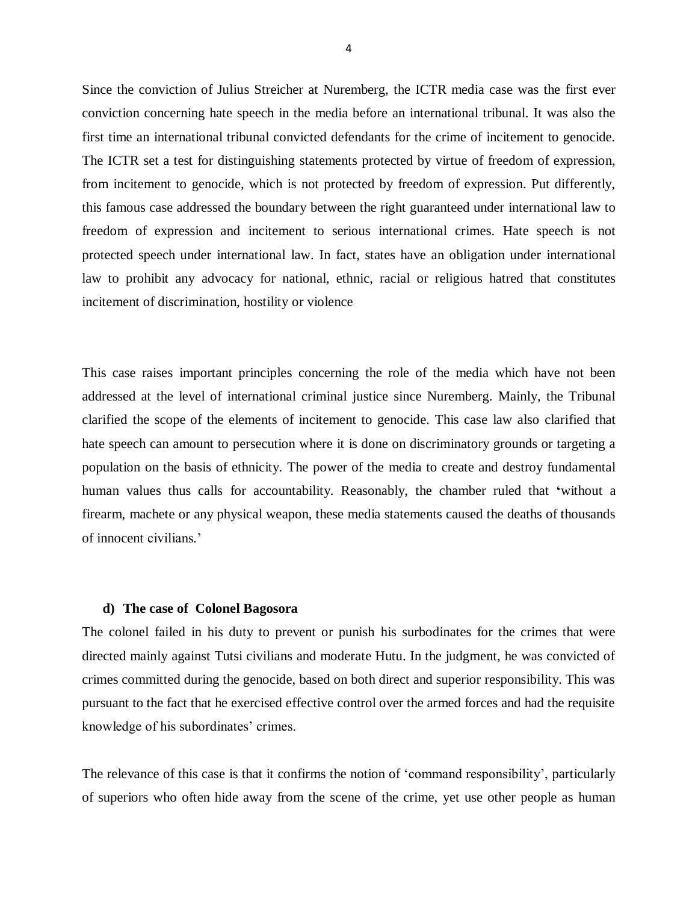Since the conviction of Julius Streicher at Nuremberg, the ICTR media case was the first ever conviction concerning hate speech in the media before an international tribunal. It was also the first time an international tribunal convicted defendants for the crime of incitement to genocide. The ICTR set a test for distinguishing statements protected by virtue of freedom of expression, from incitement to genocide, which is not protected by freedom of expression. Put differently, this famous case addressed the boundary between the right guaranteed under international law to freedom of expression and incitement to serious international crimes. Hate speech is not protected speech under international law. In fact, states have an obligation under international law to prohibit any advocacy for national, ethnic, racial or religious hatred that constitutes incitement of discrimination, hostility or violence

This case raises important principles concerning the role of the media which have not been addressed at the level of international criminal justice since Nuremberg. Mainly, the Tribunal clarified the scope of the elements of incitement to genocide. This case law also clarified that hate speech can amount to persecution where it is done on discriminatory grounds or targeting a population on the basis of ethnicity. The power of the media to create and destroy fundamental human values thus calls for accountability. Reasonably, the chamber ruled that **'**without a firearm, machete or any physical weapon, these media statements caused the deaths of thousands of innocent civilians.'

### **d) The case of Colonel Bagosora**

The colonel failed in his duty to prevent or punish his surbodinates for the crimes that were directed mainly against Tutsi civilians and moderate Hutu. In the judgment, he was convicted of crimes committed during the genocide, based on both direct and superior responsibility. This was pursuant to the fact that he exercised effective control over the armed forces and had the requisite knowledge of his subordinates' crimes.

The relevance of this case is that it confirms the notion of 'command responsibility', particularly of superiors who often hide away from the scene of the crime, yet use other people as human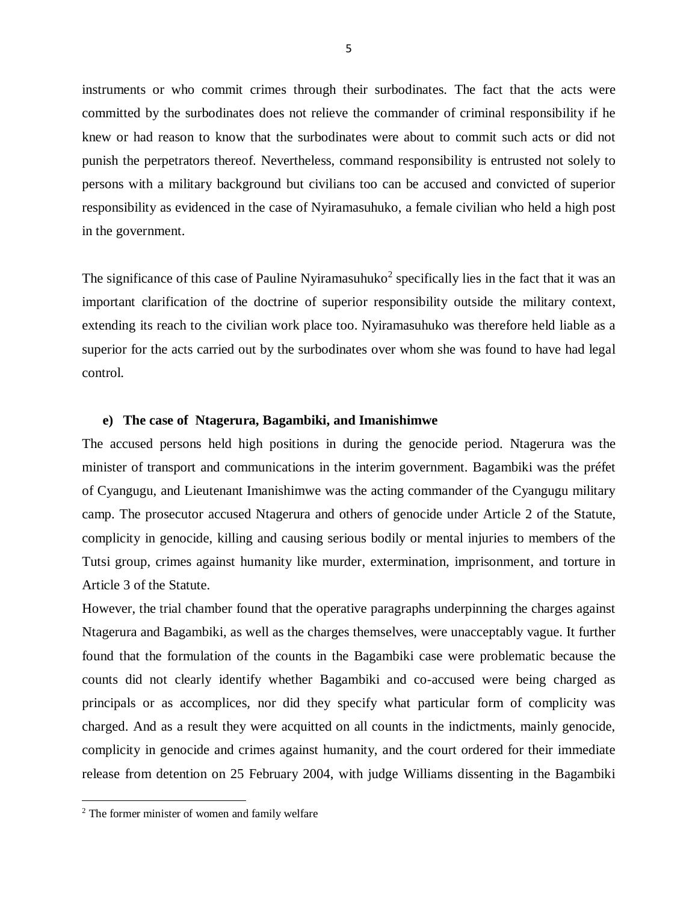instruments or who commit crimes through their surbodinates. The fact that the acts were committed by the surbodinates does not relieve the commander of criminal responsibility if he knew or had reason to know that the surbodinates were about to commit such acts or did not punish the perpetrators thereof. Nevertheless, command responsibility is entrusted not solely to persons with a military background but civilians too can be accused and convicted of superior responsibility as evidenced in the case of Nyiramasuhuko, a female civilian who held a high post in the government.

The significance of this case of Pauline Nyiramasuhuko<sup>2</sup> specifically lies in the fact that it was an important clarification of the doctrine of superior responsibility outside the military context, extending its reach to the civilian work place too. Nyiramasuhuko was therefore held liable as a superior for the acts carried out by the surbodinates over whom she was found to have had legal control.

### **e) The case of Ntagerura, Bagambiki, and Imanishimwe**

The accused persons held high positions in during the genocide period. Ntagerura was the minister of transport and communications in the interim government. Bagambiki was the préfet of Cyangugu, and Lieutenant Imanishimwe was the acting commander of the Cyangugu military camp. The prosecutor accused Ntagerura and others of genocide under Article 2 of the Statute, complicity in genocide, killing and causing serious bodily or mental injuries to members of the Tutsi group, crimes against humanity like murder, extermination, imprisonment, and torture in Article 3 of the Statute.

However, the trial chamber found that the operative paragraphs underpinning the charges against Ntagerura and Bagambiki, as well as the charges themselves, were unacceptably vague. It further found that the formulation of the counts in the Bagambiki case were problematic because the counts did not clearly identify whether Bagambiki and co-accused were being charged as principals or as accomplices, nor did they specify what particular form of complicity was charged. And as a result they were acquitted on all counts in the indictments, mainly genocide, complicity in genocide and crimes against humanity, and the court ordered for their immediate release from detention on 25 February 2004, with judge Williams dissenting in the Bagambiki

 $\overline{\phantom{a}}$ 

<sup>2</sup> The former minister of women and family welfare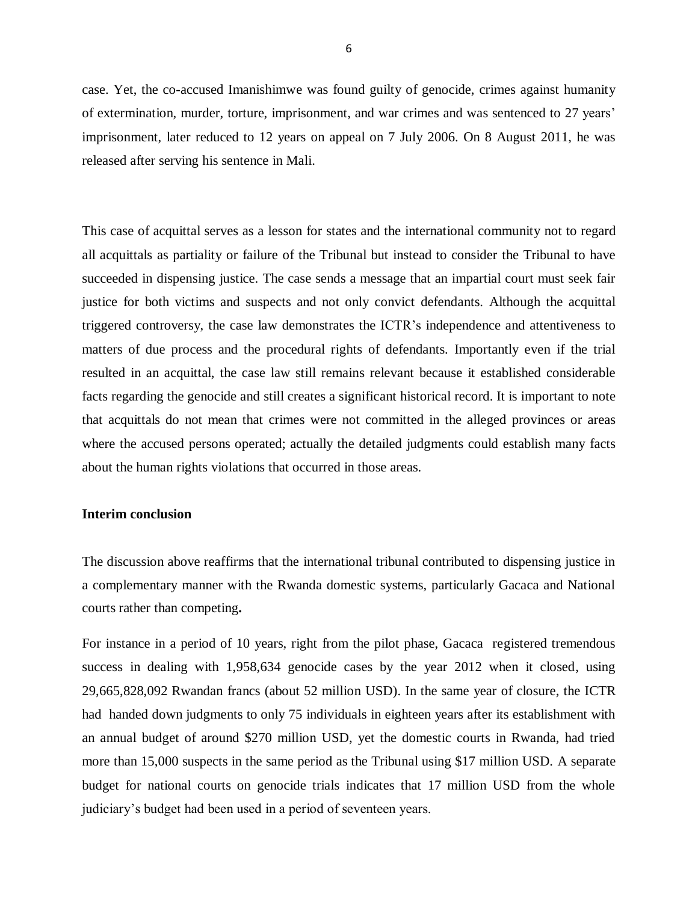case. Yet, the co-accused Imanishimwe was found guilty of genocide, crimes against humanity of extermination, murder, torture, imprisonment, and war crimes and was sentenced to 27 years' imprisonment, later reduced to 12 years on appeal on 7 July 2006. On 8 August 2011, he was released after serving his sentence in Mali.

This case of acquittal serves as a lesson for states and the international community not to regard all acquittals as partiality or failure of the Tribunal but instead to consider the Tribunal to have succeeded in dispensing justice. The case sends a message that an impartial court must seek fair justice for both victims and suspects and not only convict defendants. Although the acquittal triggered controversy, the case law demonstrates the ICTR's independence and attentiveness to matters of due process and the procedural rights of defendants. Importantly even if the trial resulted in an acquittal, the case law still remains relevant because it established considerable facts regarding the genocide and still creates a significant historical record. It is important to note that acquittals do not mean that crimes were not committed in the alleged provinces or areas where the accused persons operated; actually the detailed judgments could establish many facts about the human rights violations that occurred in those areas.

### **Interim conclusion**

The discussion above reaffirms that the international tribunal contributed to dispensing justice in a complementary manner with the Rwanda domestic systems, particularly Gacaca and National courts rather than competing**.**

For instance in a period of 10 years, right from the pilot phase, Gacaca registered tremendous success in dealing with 1,958,634 genocide cases by the year 2012 when it closed, using 29,665,828,092 Rwandan francs (about 52 million USD). In the same year of closure, the ICTR had handed down judgments to only 75 individuals in eighteen years after its establishment with an annual budget of around \$270 million USD, yet the domestic courts in Rwanda, had tried more than 15,000 suspects in the same period as the Tribunal using \$17 million USD. A separate budget for national courts on genocide trials indicates that 17 million USD from the whole judiciary's budget had been used in a period of seventeen years.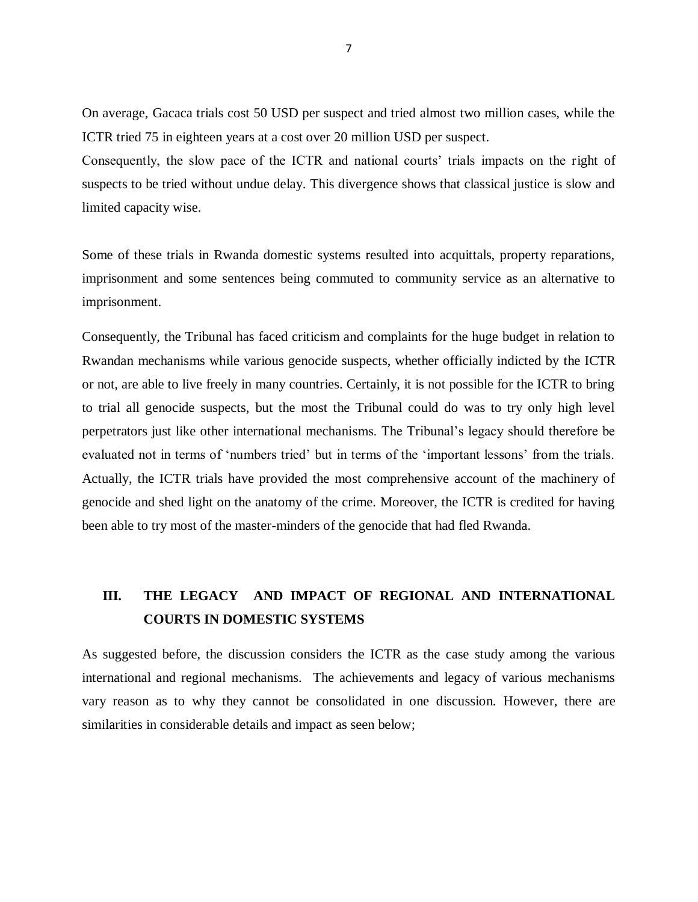On average, Gacaca trials cost 50 USD per suspect and tried almost two million cases, while the ICTR tried 75 in eighteen years at a cost over 20 million USD per suspect.

Consequently, the slow pace of the ICTR and national courts' trials impacts on the right of suspects to be tried without undue delay. This divergence shows that classical justice is slow and limited capacity wise.

Some of these trials in Rwanda domestic systems resulted into acquittals, property reparations, imprisonment and some sentences being commuted to community service as an alternative to imprisonment.

Consequently, the Tribunal has faced criticism and complaints for the huge budget in relation to Rwandan mechanisms while various genocide suspects, whether officially indicted by the ICTR or not, are able to live freely in many countries. Certainly, it is not possible for the ICTR to bring to trial all genocide suspects, but the most the Tribunal could do was to try only high level perpetrators just like other international mechanisms. The Tribunal's legacy should therefore be evaluated not in terms of 'numbers tried' but in terms of the 'important lessons' from the trials. Actually, the ICTR trials have provided the most comprehensive account of the machinery of genocide and shed light on the anatomy of the crime. Moreover, the ICTR is credited for having been able to try most of the master-minders of the genocide that had fled Rwanda.

# **III. THE LEGACY AND IMPACT OF REGIONAL AND INTERNATIONAL COURTS IN DOMESTIC SYSTEMS**

As suggested before, the discussion considers the ICTR as the case study among the various international and regional mechanisms. The achievements and legacy of various mechanisms vary reason as to why they cannot be consolidated in one discussion. However, there are similarities in considerable details and impact as seen below;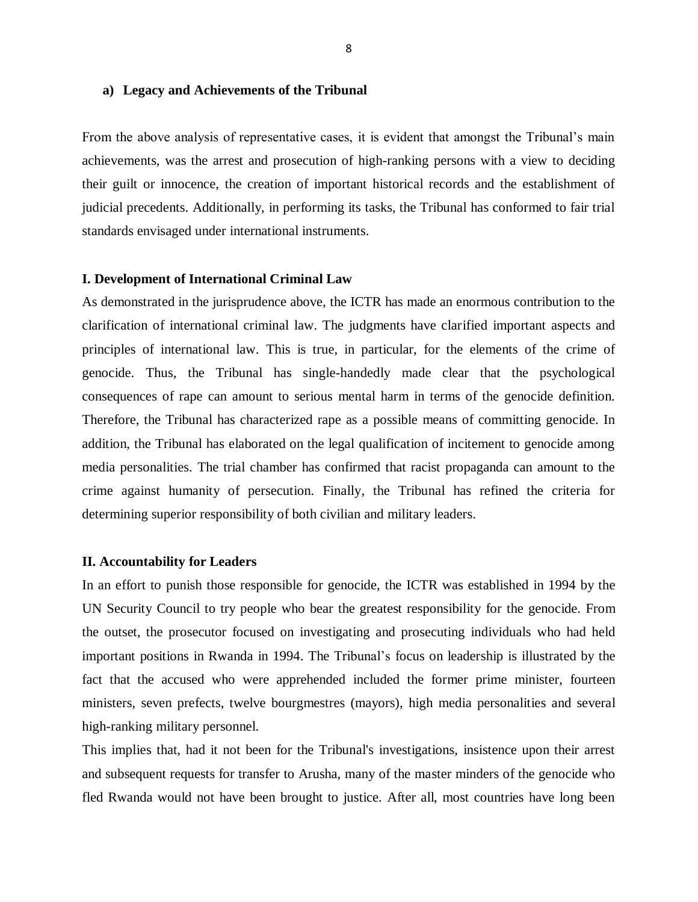#### **a) Legacy and Achievements of the Tribunal**

From the above analysis of representative cases, it is evident that amongst the Tribunal's main achievements, was the arrest and prosecution of high-ranking persons with a view to deciding their guilt or innocence, the creation of important historical records and the establishment of judicial precedents. Additionally, in performing its tasks, the Tribunal has conformed to fair trial standards envisaged under international instruments.

### **I. Development of International Criminal Law**

As demonstrated in the jurisprudence above, the ICTR has made an enormous contribution to the clarification of international criminal law. The judgments have clarified important aspects and principles of international law. This is true, in particular, for the elements of the crime of genocide. Thus, the Tribunal has single-handedly made clear that the psychological consequences of rape can amount to serious mental harm in terms of the genocide definition. Therefore, the Tribunal has characterized rape as a possible means of committing genocide. In addition, the Tribunal has elaborated on the legal qualification of incitement to genocide among media personalities. The trial chamber has confirmed that racist propaganda can amount to the crime against humanity of persecution. Finally, the Tribunal has refined the criteria for determining superior responsibility of both civilian and military leaders.

#### **II. Accountability for Leaders**

In an effort to punish those responsible for genocide, the ICTR was established in 1994 by the UN Security Council to try people who bear the greatest responsibility for the genocide. From the outset, the prosecutor focused on investigating and prosecuting individuals who had held important positions in Rwanda in 1994. The Tribunal's focus on leadership is illustrated by the fact that the accused who were apprehended included the former prime minister, fourteen ministers, seven prefects, twelve bourgmestres (mayors), high media personalities and several high-ranking military personnel.

This implies that, had it not been for the Tribunal's investigations, insistence upon their arrest and subsequent requests for transfer to Arusha, many of the master minders of the genocide who fled Rwanda would not have been brought to justice. After all, most countries have long been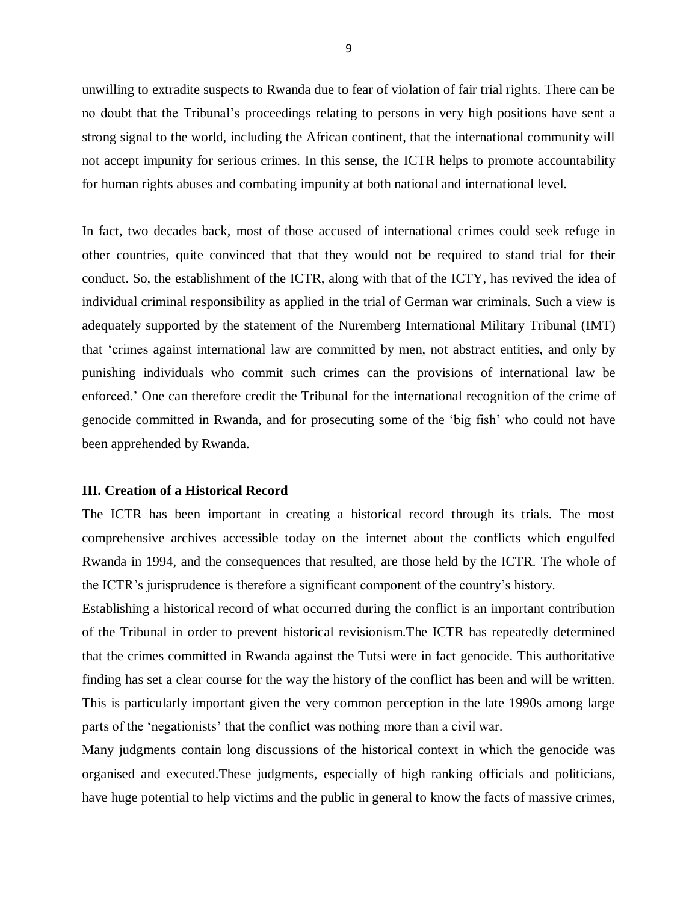unwilling to extradite suspects to Rwanda due to fear of violation of fair trial rights. There can be no doubt that the Tribunal's proceedings relating to persons in very high positions have sent a strong signal to the world, including the African continent, that the international community will not accept impunity for serious crimes. In this sense, the ICTR helps to promote accountability for human rights abuses and combating impunity at both national and international level.

In fact, two decades back, most of those accused of international crimes could seek refuge in other countries, quite convinced that that they would not be required to stand trial for their conduct. So, the establishment of the ICTR, along with that of the ICTY, has revived the idea of individual criminal responsibility as applied in the trial of German war criminals. Such a view is adequately supported by the statement of the Nuremberg International Military Tribunal (IMT) that 'crimes against international law are committed by men, not abstract entities, and only by punishing individuals who commit such crimes can the provisions of international law be enforced.' One can therefore credit the Tribunal for the international recognition of the crime of genocide committed in Rwanda, and for prosecuting some of the 'big fish' who could not have been apprehended by Rwanda.

### **III. Creation of a Historical Record**

The ICTR has been important in creating a historical record through its trials. The most comprehensive archives accessible today on the internet about the conflicts which engulfed Rwanda in 1994, and the consequences that resulted, are those held by the ICTR. The whole of the ICTR's jurisprudence is therefore a significant component of the country's history.

Establishing a historical record of what occurred during the conflict is an important contribution of the Tribunal in order to prevent historical revisionism.The ICTR has repeatedly determined that the crimes committed in Rwanda against the Tutsi were in fact genocide. This authoritative finding has set a clear course for the way the history of the conflict has been and will be written. This is particularly important given the very common perception in the late 1990s among large parts of the 'negationists' that the conflict was nothing more than a civil war.

Many judgments contain long discussions of the historical context in which the genocide was organised and executed.These judgments, especially of high ranking officials and politicians, have huge potential to help victims and the public in general to know the facts of massive crimes,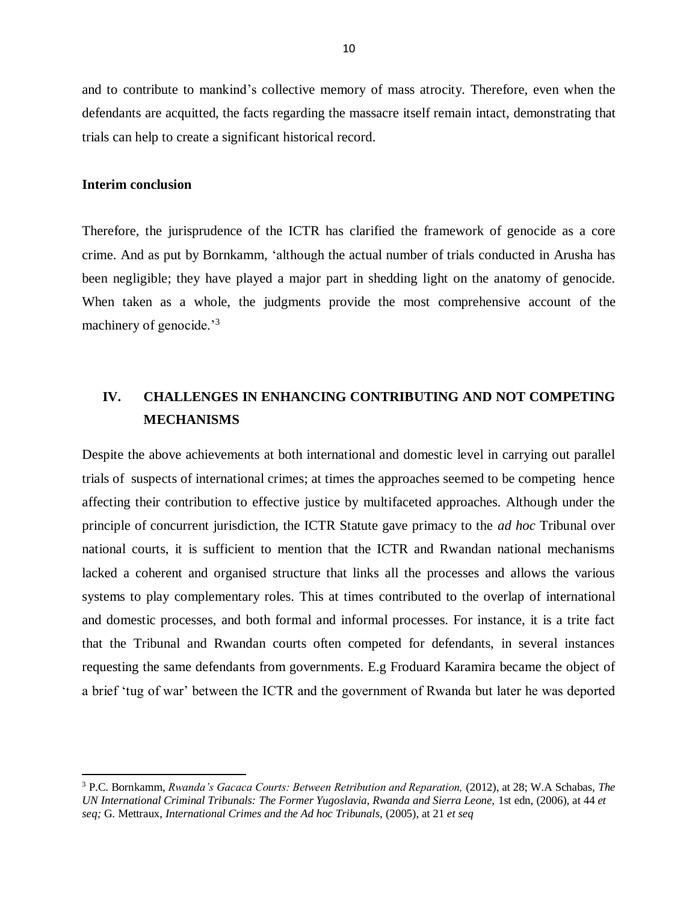and to contribute to mankind's collective memory of mass atrocity. Therefore, even when the defendants are acquitted, the facts regarding the massacre itself remain intact, demonstrating that trials can help to create a significant historical record.

### **Interim conclusion**

 $\overline{a}$ 

Therefore, the jurisprudence of the ICTR has clarified the framework of genocide as a core crime. And as put by Bornkamm, 'although the actual number of trials conducted in Arusha has been negligible; they have played a major part in shedding light on the anatomy of genocide. When taken as a whole, the judgments provide the most comprehensive account of the machinery of genocide.<sup>3</sup>

## **IV. CHALLENGES IN ENHANCING CONTRIBUTING AND NOT COMPETING MECHANISMS**

Despite the above achievements at both international and domestic level in carrying out parallel trials of suspects of international crimes; at times the approaches seemed to be competing hence affecting their contribution to effective justice by multifaceted approaches. Although under the principle of concurrent jurisdiction, the ICTR Statute gave primacy to the *ad hoc* Tribunal over national courts, it is sufficient to mention that the ICTR and Rwandan national mechanisms lacked a coherent and organised structure that links all the processes and allows the various systems to play complementary roles. This at times contributed to the overlap of international and domestic processes, and both formal and informal processes. For instance, it is a trite fact that the Tribunal and Rwandan courts often competed for defendants, in several instances requesting the same defendants from governments. E.g Froduard Karamira became the object of a brief 'tug of war' between the ICTR and the government of Rwanda but later he was deported

<sup>3</sup> P.C. Bornkamm, *Rwanda's Gacaca Courts: Between Retribution and Reparation,* (2012), at 28; W.A Schabas, *The UN International Criminal Tribunals: The Former Yugoslavia, Rwanda and Sierra Leone,* 1st edn, (2006), at 44 *et seq;* G. Mettraux, *International Crimes and the Ad hoc Tribunals,* (2005), at 21 *et seq*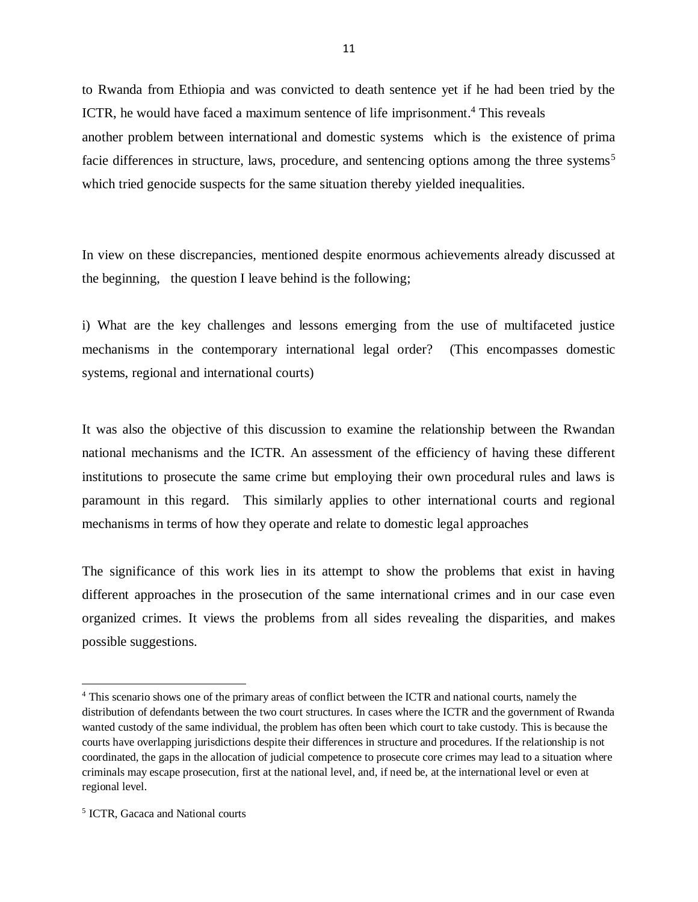to Rwanda from Ethiopia and was convicted to death sentence yet if he had been tried by the ICTR, he would have faced a maximum sentence of life imprisonment. <sup>4</sup> This reveals another problem between international and domestic systems which is the existence of prima facie differences in structure, laws, procedure, and sentencing options among the three systems<sup>5</sup> which tried genocide suspects for the same situation thereby yielded inequalities.

In view on these discrepancies, mentioned despite enormous achievements already discussed at the beginning, the question I leave behind is the following;

i) What are the key challenges and lessons emerging from the use of multifaceted justice mechanisms in the contemporary international legal order? (This encompasses domestic systems, regional and international courts)

It was also the objective of this discussion to examine the relationship between the Rwandan national mechanisms and the ICTR. An assessment of the efficiency of having these different institutions to prosecute the same crime but employing their own procedural rules and laws is paramount in this regard. This similarly applies to other international courts and regional mechanisms in terms of how they operate and relate to domestic legal approaches

The significance of this work lies in its attempt to show the problems that exist in having different approaches in the prosecution of the same international crimes and in our case even organized crimes. It views the problems from all sides revealing the disparities, and makes possible suggestions.

 $\overline{a}$ 

<sup>4</sup> This scenario shows one of the primary areas of conflict between the ICTR and national courts, namely the distribution of defendants between the two court structures. In cases where the ICTR and the government of Rwanda wanted custody of the same individual, the problem has often been which court to take custody. This is because the courts have overlapping jurisdictions despite their differences in structure and procedures. If the relationship is not coordinated, the gaps in the allocation of judicial competence to prosecute core crimes may lead to a situation where criminals may escape prosecution, first at the national level, and, if need be, at the international level or even at regional level.

<sup>5</sup> ICTR, Gacaca and National courts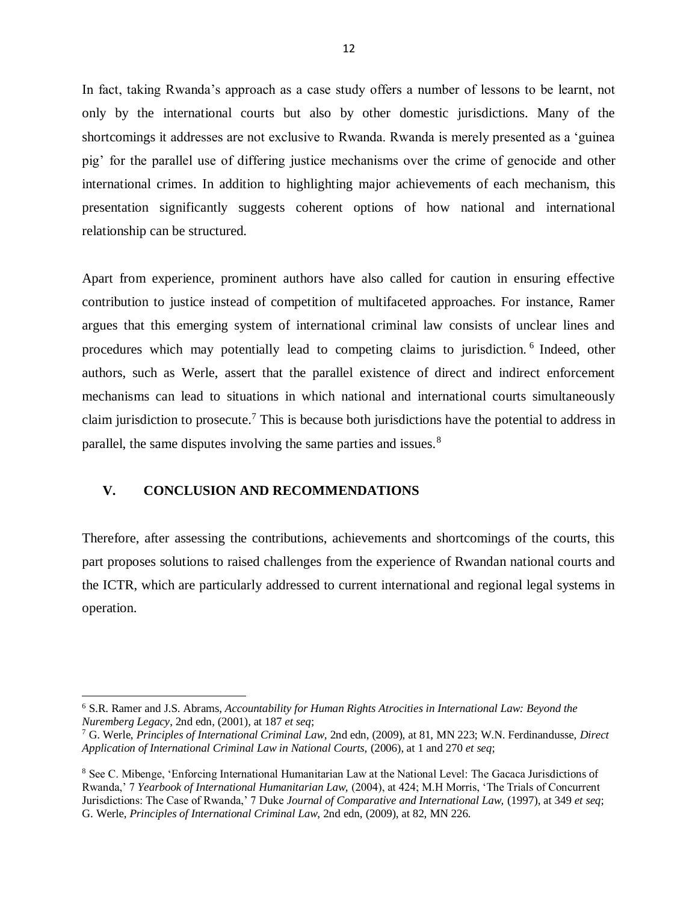In fact, taking Rwanda's approach as a case study offers a number of lessons to be learnt, not only by the international courts but also by other domestic jurisdictions. Many of the shortcomings it addresses are not exclusive to Rwanda. Rwanda is merely presented as a 'guinea pig' for the parallel use of differing justice mechanisms over the crime of genocide and other international crimes. In addition to highlighting major achievements of each mechanism, this presentation significantly suggests coherent options of how national and international relationship can be structured.

Apart from experience, prominent authors have also called for caution in ensuring effective contribution to justice instead of competition of multifaceted approaches. For instance, Ramer argues that this emerging system of international criminal law consists of unclear lines and procedures which may potentially lead to competing claims to jurisdiction.<sup>6</sup> Indeed, other authors, such as Werle, assert that the parallel existence of direct and indirect enforcement mechanisms can lead to situations in which national and international courts simultaneously claim jurisdiction to prosecute.<sup>7</sup> This is because both jurisdictions have the potential to address in parallel, the same disputes involving the same parties and issues.<sup>8</sup>

### **V. CONCLUSION AND RECOMMENDATIONS**

 $\overline{\phantom{a}}$ 

Therefore, after assessing the contributions, achievements and shortcomings of the courts, this part proposes solutions to raised challenges from the experience of Rwandan national courts and the ICTR, which are particularly addressed to current international and regional legal systems in operation.

<sup>6</sup> S.R. Ramer and J.S. Abrams, *Accountability for Human Rights Atrocities in International Law: Beyond the Nuremberg Legacy*, 2nd edn, (2001), at 187 *et seq*;

<sup>7</sup> G. Werle, *Principles of International Criminal Law*, 2nd edn, (2009), at 81, MN 223; W.N. Ferdinandusse, *Direct Application of International Criminal Law in National Courts,* (2006), at 1 and 270 *et seq*;

<sup>8</sup> See C. Mibenge, 'Enforcing International Humanitarian Law at the National Level: The Gacaca Jurisdictions of Rwanda,' 7 *Yearbook of International Humanitarian Law,* (2004), at 424; M.H Morris, 'The Trials of Concurrent Jurisdictions: The Case of Rwanda,' 7 Duke *Journal of Comparative and International Law,* (1997), at 349 *et seq*; G. Werle, *Principles of International Criminal Law*, 2nd edn, (2009), at 82, MN 226.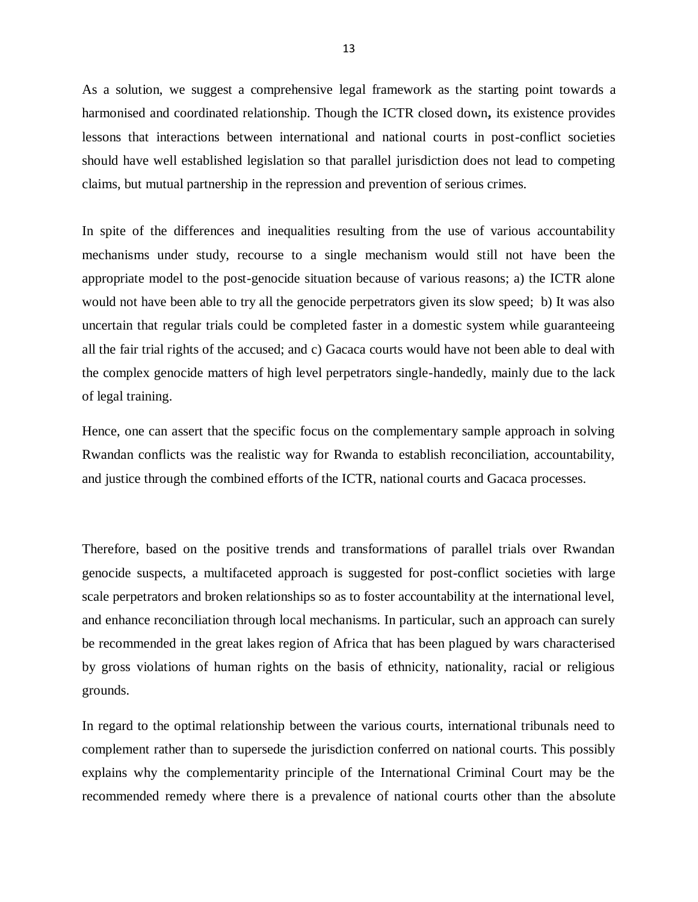As a solution, we suggest a comprehensive legal framework as the starting point towards a harmonised and coordinated relationship. Though the ICTR closed down**,** its existence provides lessons that interactions between international and national courts in post-conflict societies should have well established legislation so that parallel jurisdiction does not lead to competing claims, but mutual partnership in the repression and prevention of serious crimes.

In spite of the differences and inequalities resulting from the use of various accountability mechanisms under study, recourse to a single mechanism would still not have been the appropriate model to the post-genocide situation because of various reasons; a) the ICTR alone would not have been able to try all the genocide perpetrators given its slow speed; b) It was also uncertain that regular trials could be completed faster in a domestic system while guaranteeing all the fair trial rights of the accused; and c) Gacaca courts would have not been able to deal with the complex genocide matters of high level perpetrators single-handedly, mainly due to the lack of legal training.

Hence, one can assert that the specific focus on the complementary sample approach in solving Rwandan conflicts was the realistic way for Rwanda to establish reconciliation, accountability, and justice through the combined efforts of the ICTR, national courts and Gacaca processes.

Therefore, based on the positive trends and transformations of parallel trials over Rwandan genocide suspects, a multifaceted approach is suggested for post-conflict societies with large scale perpetrators and broken relationships so as to foster accountability at the international level, and enhance reconciliation through local mechanisms. In particular, such an approach can surely be recommended in the great lakes region of Africa that has been plagued by wars characterised by gross violations of human rights on the basis of ethnicity, nationality, racial or religious grounds.

In regard to the optimal relationship between the various courts, international tribunals need to complement rather than to supersede the jurisdiction conferred on national courts. This possibly explains why the complementarity principle of the International Criminal Court may be the recommended remedy where there is a prevalence of national courts other than the absolute